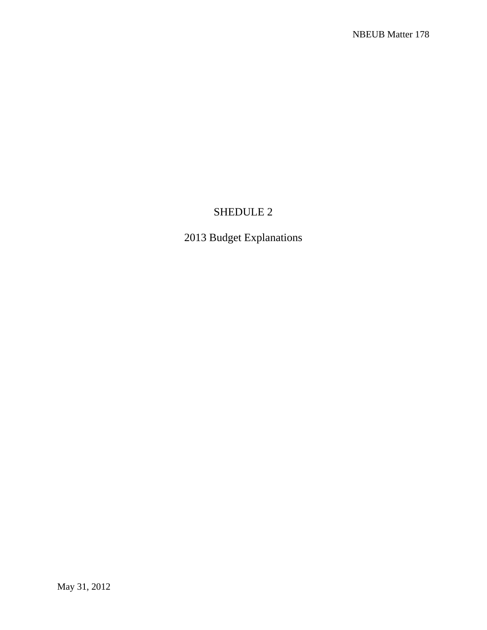# SHEDULE 2

2013 Budget Explanations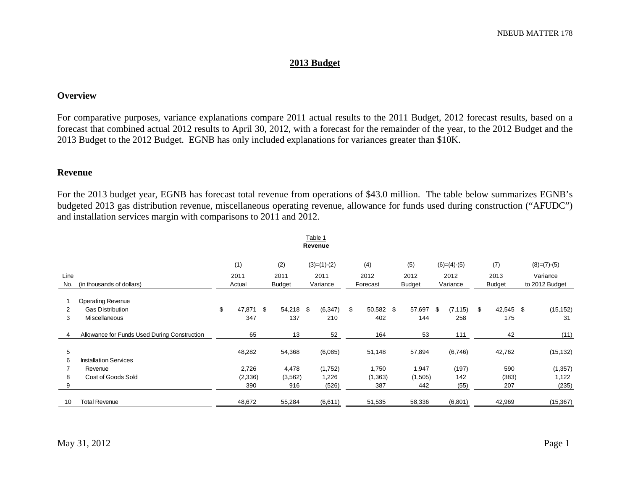# **2013 Budget**

#### **Overview**

For comparative purposes, variance explanations compare 2011 actual results to the 2011 Budget, 2012 forecast results, based on a forecast that combined actual 2012 results to April 30, 2012, with a forecast for the remainder of the year, to the 2012 Budget and the 2013 Budget to the 2012 Budget. EGNB has only included explanations for variances greater than \$10K.

#### **Revenue**

For the 2013 budget year, EGNB has forecast total revenue from operations of \$43.0 million. The table below summarizes EGNB's budgeted 2013 gas distribution revenue, miscellaneous operating revenue, allowance for funds used during construction ("AFUDC") and installation services margin with comparisons to 2011 and 2012.

|      |                                              |              |      |               |  | Table 1       |    |           |  |               |            |               |    |               |  |                |  |
|------|----------------------------------------------|--------------|------|---------------|--|---------------|----|-----------|--|---------------|------------|---------------|----|---------------|--|----------------|--|
|      |                                              |              |      |               |  | Revenue       |    |           |  |               |            |               |    |               |  |                |  |
|      |                                              | (1)          |      | (2)           |  | $(3)=(1)-(2)$ |    | (4)       |  | (5)           |            | $(6)=(4)-(5)$ |    | (7)           |  | $(8)=(7)-(5)$  |  |
| Line |                                              | 2011         |      | 2011          |  | 2011          |    | 2012      |  | 2012          |            | 2012          |    | 2013          |  | Variance       |  |
| No.  | (in thousands of dollars)                    | Actual       |      | <b>Budget</b> |  | Variance      |    | Forecast  |  | <b>Budget</b> |            | Variance      |    | <b>Budget</b> |  | to 2012 Budget |  |
|      | <b>Operating Revenue</b>                     |              |      |               |  |               |    |           |  |               |            |               |    |               |  |                |  |
| 2    | <b>Gas Distribution</b>                      | \$<br>47,871 | - \$ | 54,218 \$     |  | (6, 347)      | \$ | 50,582 \$ |  | 57,697        | $^{\circ}$ | (7, 115)      | \$ | 42,545 \$     |  | (15, 152)      |  |
| 3    | Miscellaneous                                | 347          |      | 137           |  | 210           |    | 402       |  | 144           |            | 258           |    | 175           |  | 31             |  |
| 4    | Allowance for Funds Used During Construction | 65           |      | 13            |  | 52            |    | 164       |  | 53            |            | 111           |    | 42            |  | (11)           |  |
| 5    |                                              | 48,282       |      | 54,368        |  | (6,085)       |    | 51,148    |  | 57,894        |            | (6,746)       |    | 42,762        |  | (15, 132)      |  |
| 6    | <b>Installation Services</b>                 |              |      |               |  |               |    |           |  |               |            |               |    |               |  |                |  |
|      | Revenue                                      | 2,726        |      | 4,478         |  | (1,752)       |    | 1,750     |  | 1,947         |            | (197)         |    | 590           |  | (1, 357)       |  |
| 8    | Cost of Goods Sold                           | (2, 336)     |      | (3, 562)      |  | 1,226         |    | (1, 363)  |  | (1,505)       |            | 142           |    | (383)         |  | 1,122          |  |
| 9    |                                              | 390          |      | 916           |  | (526)         |    | 387       |  | 442           |            | (55)          |    | 207           |  | (235)          |  |
| 10   | <b>Total Revenue</b>                         | 48,672       |      | 55,284        |  | (6,611)       |    | 51,535    |  | 58,336        |            | (6,801)       |    | 42,969        |  | (15, 367)      |  |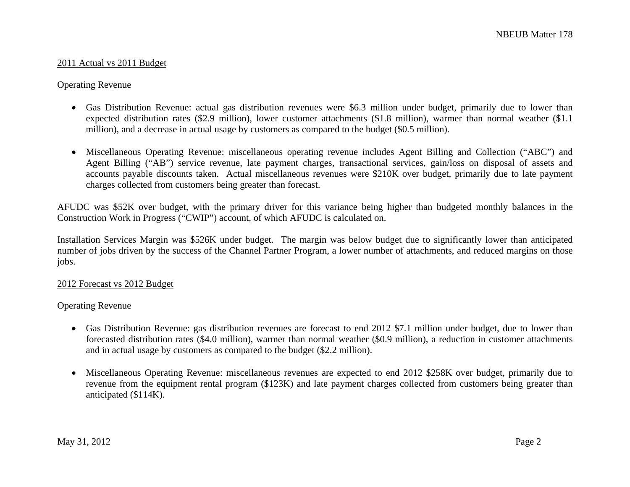#### 2011 Actual vs 2011 Budget

#### Operating Revenue

- Gas Distribution Revenue: actual gas distribution revenues were \$6.3 million under budget, primarily due to lower than expected distribution rates (\$2.9 million), lower customer attachments (\$1.8 million), warmer than normal weather (\$1.1 million), and a decrease in actual usage by customers as compared to the budget (\$0.5 million).
- Miscellaneous Operating Revenue: miscellaneous operating revenue includes Agent Billing and Collection ("ABC") and Agent Billing ("AB") service revenue, late payment charges, transactional services, gain/loss on disposal of assets and accounts payable discounts taken. Actual miscellaneous revenues were \$210K over budget, primarily due to late payment charges collected from customers being greater than forecast.

AFUDC was \$52K over budget, with the primary driver for this variance being higher than budgeted monthly balances in the Construction Work in Progress ("CWIP") account, of which AFUDC is calculated on.

Installation Services Margin was \$526K under budget. The margin was below budget due to significantly lower than anticipated number of jobs driven by the success of the Channel Partner Program, a lower number of attachments, and reduced margins on those jobs.

#### 2012 Forecast vs 2012 Budget

#### Operating Revenue

- Gas Distribution Revenue: gas distribution revenues are forecast to end 2012 \$7.1 million under budget, due to lower than forecasted distribution rates (\$4.0 million), warmer than normal weather (\$0.9 million), a reduction in customer attachments and in actual usage by customers as compared to the budget (\$2.2 million).
- Miscellaneous Operating Revenue: miscellaneous revenues are expected to end 2012 \$258K over budget, primarily due to revenue from the equipment rental program (\$123K) and late payment charges collected from customers being greater than anticipated (\$114K).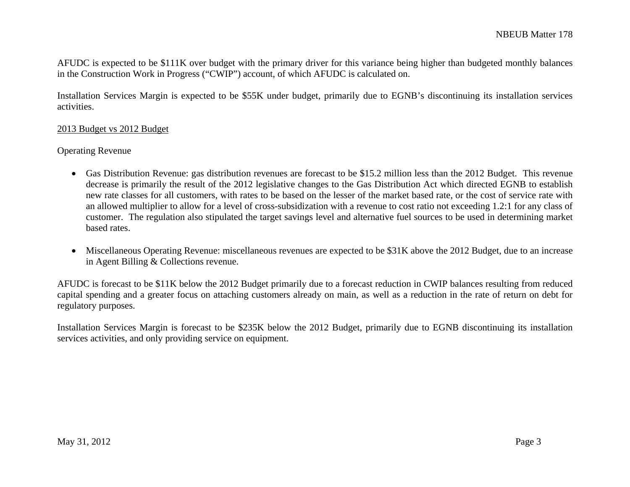AFUDC is expected to be \$111K over budget with the primary driver for this variance being higher than budgeted monthly balances in the Construction Work in Progress ("CWIP") account, of which AFUDC is calculated on.

Installation Services Margin is expected to be \$55K under budget, primarily due to EGNB's discontinuing its installation services activities.

### 2013 Budget vs 2012 Budget

### Operating Revenue

- Gas Distribution Revenue: gas distribution revenues are forecast to be \$15.2 million less than the 2012 Budget. This revenue decrease is primarily the result of the 2012 legislative changes to the Gas Distribution Act which directed EGNB to establish new rate classes for all customers, with rates to be based on the lesser of the market based rate, or the cost of service rate with an allowed multiplier to allow for a level of cross-subsidization with a revenue to cost ratio not exceeding 1.2:1 for any class of customer. The regulation also stipulated the target savings level and alternative fuel sources to be used in determining market based rates.
- Miscellaneous Operating Revenue: miscellaneous revenues are expected to be \$31K above the 2012 Budget, due to an increase in Agent Billing & Collections revenue.

AFUDC is forecast to be \$11K below the 2012 Budget primarily due to a forecast reduction in CWIP balances resulting from reduced capital spending and a greater focus on attaching customers already on main, as well as a reduction in the rate of return on debt for regulatory purposes.

Installation Services Margin is forecast to be \$235K below the 2012 Budget, primarily due to EGNB discontinuing its installation services activities, and only providing service on equipment.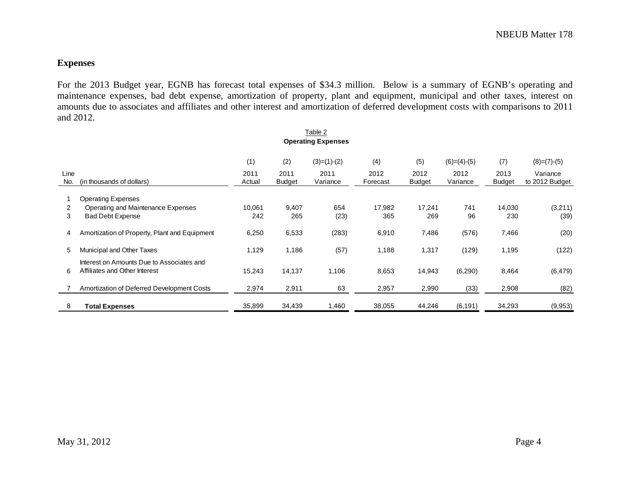# **Expenses**

For the 2013 Budget year, EGNB has forecast total expenses of \$34.3 million. Below is a summary of EGNB's operating and maintenance expenses, bad debt expense, amortization of property, plant and equipment, municipal and other taxes, interest on amounts due to associates and affiliates and other interest and amortization of deferred development costs with comparisons to 2011 and 2012.

|             | Table 2                                                                    |                |                       |                  |                  |                       |                  |                       |                            |  |  |  |
|-------------|----------------------------------------------------------------------------|----------------|-----------------------|------------------|------------------|-----------------------|------------------|-----------------------|----------------------------|--|--|--|
|             | <b>Operating Expenses</b>                                                  |                |                       |                  |                  |                       |                  |                       |                            |  |  |  |
|             |                                                                            | (1)            | (2)                   | $(3)=(1)-(2)$    | (4)              | (5)                   | $(6)=(4)-(5)$    | (7)                   | $(8)=(7)-(5)$              |  |  |  |
| Line<br>No. | (in thousands of dollars)                                                  | 2011<br>Actual | 2011<br><b>Budget</b> | 2011<br>Variance | 2012<br>Forecast | 2012<br><b>Budget</b> | 2012<br>Variance | 2013<br><b>Budget</b> | Variance<br>to 2012 Budget |  |  |  |
|             | <b>Operating Expenses</b>                                                  |                |                       |                  |                  |                       |                  |                       |                            |  |  |  |
| 2           | Operating and Maintenance Expenses                                         | 10,061         | 9,407                 | 654              | 17,982           | 17,241                | 741              | 14,030                | (3,211)                    |  |  |  |
| 3           | <b>Bad Debt Expense</b>                                                    | 242            | 265                   | (23)             | 365              | 269                   | 96               | 230                   | (39)                       |  |  |  |
| 4           | Amortization of Property, Plant and Equipment                              | 6,250          | 6,533                 | (283)            | 6,910            | 7,486                 | (576)            | 7,466                 | (20)                       |  |  |  |
| 5           | Municipal and Other Taxes                                                  | 1,129          | 1,186                 | (57)             | 1,188            | 1,317                 | (129)            | 1,195                 | (122)                      |  |  |  |
| 6           | Interest on Amounts Due to Associates and<br>Affiliates and Other Interest | 15,243         | 14,137                | 1,106            | 8,653            | 14,943                | (6,290)          | 8,464                 | (6, 479)                   |  |  |  |
|             | Amortization of Deferred Development Costs                                 | 2,974          | 2,911                 | 63               | 2,957            | 2,990                 | (33)             | 2,908                 | (82)                       |  |  |  |
| 8           | <b>Total Expenses</b>                                                      | 35,899         | 34,439                | 1,460            | 38,055           | 44,246                | (6, 191)         | 34,293                | (9,953)                    |  |  |  |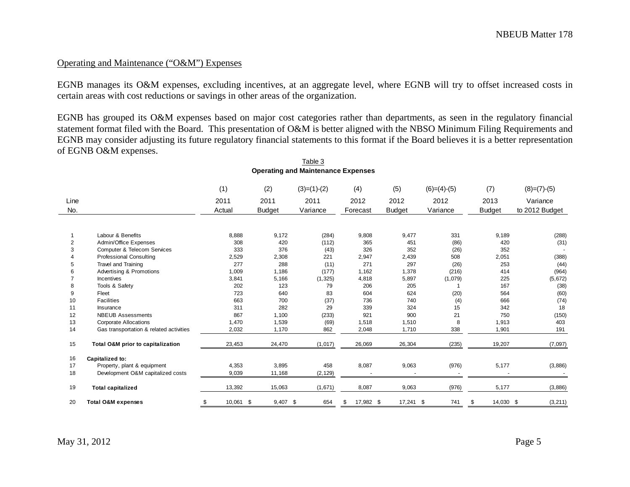### Operating and Maintenance ("O&M") Expenses

EGNB manages its O&M expenses, excluding incentives, at an aggregate level, where EGNB will try to offset increased costs in certain areas with cost reductions or savings in other areas of the organization.

EGNB has grouped its O&M expenses based on major cost categories rather than departments, as seen in the regulatory financial statement format filed with the Board. This presentation of O&M is better aligned with the NBSO Minimum Filing Requirements and EGNB may consider adjusting its future regulatory financial statements to this format if the Board believes it is a better representation of EGNB O&M expenses.

|      |                                         | (1)             | (2)           | $(3)=(1)-(2)$ | (4)             | (5)           | $(6)=(4)-(5)$ | (7)             | $(8)=(7)-(5)$  |
|------|-----------------------------------------|-----------------|---------------|---------------|-----------------|---------------|---------------|-----------------|----------------|
| Line |                                         | 2011            | 2011          | 2011          | 2012            | 2012          | 2012          | 2013            | Variance       |
| No.  |                                         | Actual          | <b>Budget</b> | Variance      | Forecast        | <b>Budget</b> | Variance      | Budget          | to 2012 Budget |
|      |                                         |                 |               |               |                 |               |               |                 |                |
|      | Labour & Benefits                       | 8,888           | 9,172         | (284)         | 9,808           | 9,477         | 331           | 9,189           | (288)          |
| 2    | Admin/Office Expenses                   | 308             | 420           | (112)         | 365             | 451           | (86)          | 420             | (31)           |
| 3    | <b>Computer &amp; Telecom Services</b>  | 333             | 376           | (43)          | 326             | 352           | (26)          | 352             |                |
|      | Professional Consulting                 | 2,529           | 2,308         | 221           | 2,947           | 2,439         | 508           | 2,051           | (388)          |
|      | Travel and Training                     | 277             | 288           | (11)          | 271             | 297           | (26)          | 253             | (44)           |
|      | Advertising & Promotions                | 1,009           | 1,186         | (177)         | 1,162           | 1,378         | (216)         | 414             | (964)          |
|      | <b>Incentives</b>                       | 3,841           | 5,166         | (1, 325)      | 4,818           | 5,897         | (1,079)       | 225             | (5,672)        |
|      | Tools & Safety                          | 202             | 123           | 79            | 206             | 205           |               | 167             | (38)           |
| 9    | Fleet                                   | 723             | 640           | 83            | 604             | 624           | (20)          | 564             | (60)           |
| 10   | <b>Facilities</b>                       | 663             | 700           | (37)          | 736             | 740           | (4)           | 666             | (74)           |
| 11   | Insurance                               | 311             | 282           | 29            | 339             | 324           | 15            | 342             | 18             |
| 12   | <b>NBEUB Assessments</b>                | 867             | 1,100         | (233)         | 921             | 900           | 21            | 750             | (150)          |
| 13   | <b>Corporate Allocations</b>            | 1,470           | 1,539         | (69)          | 1,518           | 1,510         | 8             | 1,913           | 403            |
| 14   | Gas transportation & related activities | 2,032           | 1,170         | 862           | 2,048           | 1,710         | 338           | 1,901           | 191            |
| 15   | Total O&M prior to capitalization       | 23,453          | 24,470        | (1,017)       | 26,069          | 26,304        | (235)         | 19,207          | (7,097)        |
| 16   | Capitalized to:                         |                 |               |               |                 |               |               |                 |                |
| 17   | Property, plant & equipment             | 4,353           | 3,895         | 458           | 8,087           | 9,063         | (976)         | 5,177           | (3,886)        |
| 18   | Development O&M capitalized costs       | 9,039           | 11,168        | (2, 129)      |                 |               |               |                 |                |
| 19   | <b>Total capitalized</b>                | 13,392          | 15,063        | (1,671)       | 8,087           | 9,063         | (976)         | 5,177           | (3,886)        |
| 20   | <b>Total O&amp;M expenses</b>           | \$<br>10,061 \$ | $9,407$ \$    | 654           | 17,982 \$<br>\$ | $17,241$ \$   | 741           | \$<br>14,030 \$ | (3, 211)       |

#### Table 3 **Operating and Maintenance Expenses**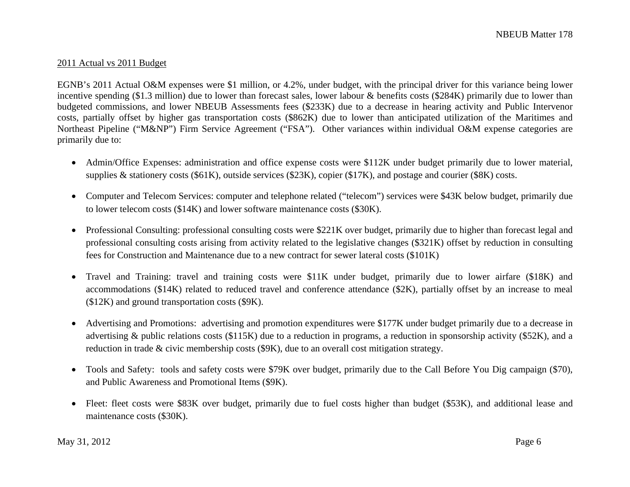#### 2011 Actual vs 2011 Budget

EGNB's 2011 Actual O&M expenses were \$1 million, or 4.2%, under budget, with the principal driver for this variance being lower incentive spending (\$1.3 million) due to lower than forecast sales, lower labour & benefits costs (\$284K) primarily due to lower than budgeted commissions, and lower NBEUB Assessments fees (\$233K) due to a decrease in hearing activity and Public Intervenor costs, partially offset by higher gas transportation costs (\$862K) due to lower than anticipated utilization of the Maritimes and Northeast Pipeline ("M&NP") Firm Service Agreement ("FSA"). Other variances within individual O&M expense categories are primarily due to:

- Admin/Office Expenses: administration and office expense costs were \$112K under budget primarily due to lower material, supplies & stationery costs (\$61K), outside services (\$23K), copier (\$17K), and postage and courier (\$8K) costs.
- $\bullet$  Computer and Telecom Services: computer and telephone related ("telecom") services were \$43K below budget, primarily due to lower telecom costs (\$14K) and lower software maintenance costs (\$30K).
- Professional Consulting: professional consulting costs were \$221K over budget, primarily due to higher than forecast legal and professional consulting costs arising from activity related to the legislative changes (\$321K) offset by reduction in consulting fees for Construction and Maintenance due to a new contract for sewer lateral costs (\$101K)
- Travel and Training: travel and training costs were \$11K under budget, primarily due to lower airfare (\$18K) and accommodations (\$14K) related to reduced travel and conference attendance (\$2K), partially offset by an increase to meal (\$12K) and ground transportation costs (\$9K).
- Advertising and Promotions: advertising and promotion expenditures were \$177K under budget primarily due to a decrease in advertising & public relations costs (\$115K) due to a reduction in programs, a reduction in sponsorship activity (\$52K), and a reduction in trade & civic membership costs (\$9K), due to an overall cost mitigation strategy.
- Tools and Safety: tools and safety costs were \$79K over budget, primarily due to the Call Before You Dig campaign (\$70), and Public Awareness and Promotional Items (\$9K).
- Fleet: fleet costs were \$83K over budget, primarily due to fuel costs higher than budget (\$53K), and additional lease and maintenance costs (\$30K).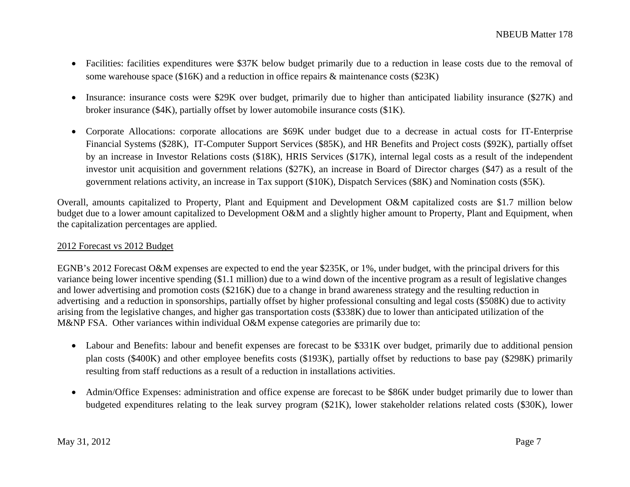- Facilities: facilities expenditures were \$37K below budget primarily due to a reduction in lease costs due to the removal of some warehouse space (\$16K) and a reduction in office repairs & maintenance costs (\$23K)
- $\bullet$  Insurance: insurance costs were \$29K over budget, primarily due to higher than anticipated liability insurance (\$27K) and broker insurance (\$4K), partially offset by lower automobile insurance costs (\$1K).
- Corporate Allocations: corporate allocations are \$69K under budget due to a decrease in actual costs for IT-Enterprise Financial Systems (\$28K), IT-Computer Support Services (\$85K), and HR Benefits and Project costs (\$92K), partially offset by an increase in Investor Relations costs (\$18K), HRIS Services (\$17K), internal legal costs as a result of the independent investor unit acquisition and government relations (\$27K), an increase in Board of Director charges (\$47) as a result of the government relations activity, an increase in Tax support (\$10K), Dispatch Services (\$8K) and Nomination costs (\$5K).

Overall, amounts capitalized to Property, Plant and Equipment and Development O&M capitalized costs are \$1.7 million below budget due to a lower amount capitalized to Development O&M and a slightly higher amount to Property, Plant and Equipment, when the capitalization percentages are applied.

# 2012 Forecast vs 2012 Budget

EGNB's 2012 Forecast O&M expenses are expected to end the year \$235K, or 1%, under budget, with the principal drivers for this variance being lower incentive spending (\$1.1 million) due to a wind down of the incentive program as a result of legislative changes and lower advertising and promotion costs (\$216K) due to a change in brand awareness strategy and the resulting reduction in advertising and a reduction in sponsorships, partially offset by higher professional consulting and legal costs (\$508K) due to activity arising from the legislative changes, and higher gas transportation costs (\$338K) due to lower than anticipated utilization of the M&NP FSA. Other variances within individual O&M expense categories are primarily due to:

- Labour and Benefits: labour and benefit expenses are forecast to be \$331K over budget, primarily due to additional pension plan costs (\$400K) and other employee benefits costs (\$193K), partially offset by reductions to base pay (\$298K) primarily resulting from staff reductions as a result of a reduction in installations activities.
- $\bullet$  Admin/Office Expenses: administration and office expense are forecast to be \$86K under budget primarily due to lower than budgeted expenditures relating to the leak survey program (\$21K), lower stakeholder relations related costs (\$30K), lower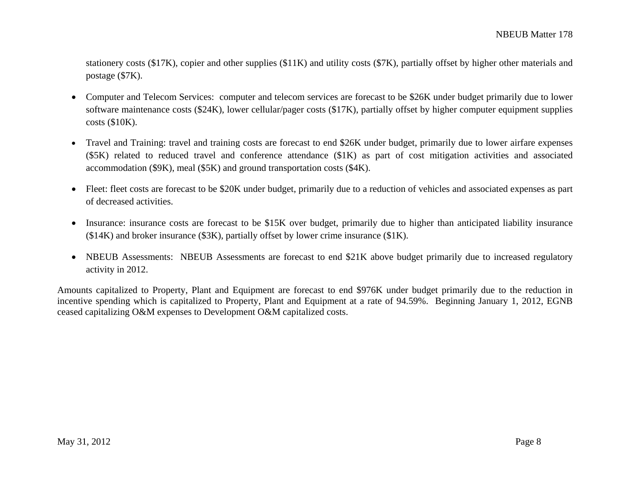stationery costs (\$17K), copier and other supplies (\$11K) and utility costs (\$7K), partially offset by higher other materials and postage (\$7K).

- • Computer and Telecom Services: computer and telecom services are forecast to be \$26K under budget primarily due to lower software maintenance costs (\$24K), lower cellular/pager costs (\$17K), partially offset by higher computer equipment supplies costs (\$10K).
- • Travel and Training: travel and training costs are forecast to end \$26K under budget, primarily due to lower airfare expenses (\$5K) related to reduced travel and conference attendance (\$1K) as part of cost mitigation activities and associated accommodation (\$9K), meal (\$5K) and ground transportation costs (\$4K).
- Fleet: fleet costs are forecast to be \$20K under budget, primarily due to a reduction of vehicles and associated expenses as part of decreased activities.
- $\bullet$  Insurance: insurance costs are forecast to be \$15K over budget, primarily due to higher than anticipated liability insurance  $(14K)$  and broker insurance (\$3K), partially offset by lower crime insurance (\$1K).
- NBEUB Assessments: NBEUB Assessments are forecast to end \$21K above budget primarily due to increased regulatory activity in 2012.

Amounts capitalized to Property, Plant and Equipment are forecast to end \$976K under budget primarily due to the reduction in incentive spending which is capitalized to Property, Plant and Equipment at a rate of 94.59%. Beginning January 1, 2012, EGNB ceased capitalizing O&M expenses to Development O&M capitalized costs.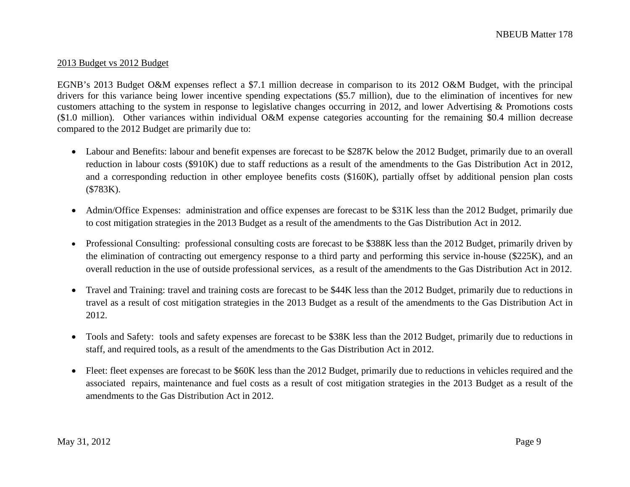#### 2013 Budget vs 2012 Budget

EGNB's 2013 Budget O&M expenses reflect a \$7.1 million decrease in comparison to its 2012 O&M Budget, with the principal drivers for this variance being lower incentive spending expectations (\$5.7 million), due to the elimination of incentives for new customers attaching to the system in response to legislative changes occurring in 2012, and lower Advertising & Promotions costs (\$1.0 million). Other variances within individual O&M expense categories accounting for the remaining \$0.4 million decrease compared to the 2012 Budget are primarily due to:

- Labour and Benefits: labour and benefit expenses are forecast to be \$287K below the 2012 Budget, primarily due to an overall reduction in labour costs (\$910K) due to staff reductions as a result of the amendments to the Gas Distribution Act in 2012, and a corresponding reduction in other employee benefits costs (\$160K), partially offset by additional pension plan costs (\$783K).
- $\bullet$  Admin/Office Expenses: administration and office expenses are forecast to be \$31K less than the 2012 Budget, primarily due to cost mitigation strategies in the 2013 Budget as a result of the amendments to the Gas Distribution Act in 2012.
- Professional Consulting: professional consulting costs are forecast to be \$388K less than the 2012 Budget, primarily driven by the elimination of contracting out emergency response to a third party and performing this service in-house (\$225K), and an overall reduction in the use of outside professional services, as a result of the amendments to the Gas Distribution Act in 2012.
- Travel and Training: travel and training costs are forecast to be \$44K less than the 2012 Budget, primarily due to reductions in travel as a result of cost mitigation strategies in the 2013 Budget as a result of the amendments to the Gas Distribution Act in 2012.
- $\bullet$  Tools and Safety: tools and safety expenses are forecast to be \$38K less than the 2012 Budget, primarily due to reductions in staff, and required tools, as a result of the amendments to the Gas Distribution Act in 2012.
- $\bullet$  Fleet: fleet expenses are forecast to be \$60K less than the 2012 Budget, primarily due to reductions in vehicles required and the associated repairs, maintenance and fuel costs as a result of cost mitigation strategies in the 2013 Budget as a result of the amendments to the Gas Distribution Act in 2012.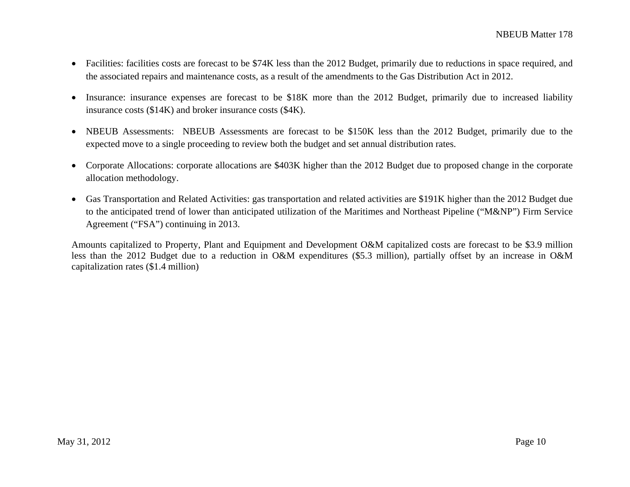- $\bullet$  Facilities: facilities costs are forecast to be \$74K less than the 2012 Budget, primarily due to reductions in space required, and the associated repairs and maintenance costs, as a result of the amendments to the Gas Distribution Act in 2012.
- $\bullet$  Insurance: insurance expenses are forecast to be \$18K more than the 2012 Budget, primarily due to increased liability insurance costs (\$14K) and broker insurance costs (\$4K).
- $\bullet$  NBEUB Assessments: NBEUB Assessments are forecast to be \$150K less than the 2012 Budget, primarily due to the expected move to a single proceeding to review both the budget and set annual distribution rates.
- Corporate Allocations: corporate allocations are \$403K higher than the 2012 Budget due to proposed change in the corporate allocation methodology.
- $\bullet$  Gas Transportation and Related Activities: gas transportation and related activities are \$191K higher than the 2012 Budget due to the anticipated trend of lower than anticipated utilization of the Maritimes and Northeast Pipeline ("M&NP") Firm Service Agreement ("FSA") continuing in 2013.

Amounts capitalized to Property, Plant and Equipment and Development O&M capitalized costs are forecast to be \$3.9 million less than the 2012 Budget due to a reduction in O&M expenditures (\$5.3 million), partially offset by an increase in O&M capitalization rates (\$1.4 million)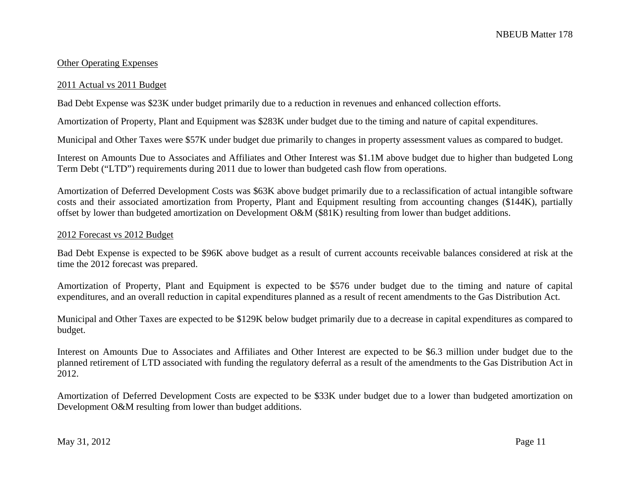### Other Operating Expenses

#### 2011 Actual vs 2011 Budget

Bad Debt Expense was \$23K under budget primarily due to a reduction in revenues and enhanced collection efforts.

Amortization of Property, Plant and Equipment was \$283K under budget due to the timing and nature of capital expenditures.

Municipal and Other Taxes were \$57K under budget due primarily to changes in property assessment values as compared to budget.

Interest on Amounts Due to Associates and Affiliates and Other Interest was \$1.1M above budget due to higher than budgeted Long Term Debt ("LTD") requirements during 2011 due to lower than budgeted cash flow from operations.

Amortization of Deferred Development Costs was \$63K above budget primarily due to a reclassification of actual intangible software costs and their associated amortization from Property, Plant and Equipment resulting from accounting changes (\$144K), partially offset by lower than budgeted amortization on Development O&M (\$81K) resulting from lower than budget additions.

# 2012 Forecast vs 2012 Budget

Bad Debt Expense is expected to be \$96K above budget as a result of current accounts receivable balances considered at risk at the time the 2012 forecast was prepared.

Amortization of Property, Plant and Equipment is expected to be \$576 under budget due to the timing and nature of capital expenditures, and an overall reduction in capital expenditures planned as a result of recent amendments to the Gas Distribution Act.

Municipal and Other Taxes are expected to be \$129K below budget primarily due to a decrease in capital expenditures as compared to budget.

Interest on Amounts Due to Associates and Affiliates and Other Interest are expected to be \$6.3 million under budget due to the planned retirement of LTD associated with funding the regulatory deferral as a result of the amendments to the Gas Distribution Act in 2012.

Amortization of Deferred Development Costs are expected to be \$33K under budget due to a lower than budgeted amortization on Development O&M resulting from lower than budget additions.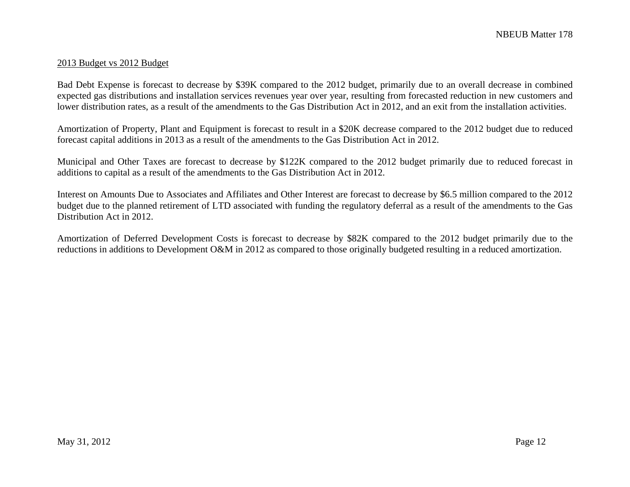#### 2013 Budget vs 2012 Budget

Bad Debt Expense is forecast to decrease by \$39K compared to the 2012 budget, primarily due to an overall decrease in combined expected gas distributions and installation services revenues year over year, resulting from forecasted reduction in new customers and lower distribution rates, as a result of the amendments to the Gas Distribution Act in 2012, and an exit from the installation activities.

Amortization of Property, Plant and Equipment is forecast to result in a \$20K decrease compared to the 2012 budget due to reduced forecast capital additions in 2013 as a result of the amendments to the Gas Distribution Act in 2012.

Municipal and Other Taxes are forecast to decrease by \$122K compared to the 2012 budget primarily due to reduced forecast in additions to capital as a result of the amendments to the Gas Distribution Act in 2012.

Interest on Amounts Due to Associates and Affiliates and Other Interest are forecast to decrease by \$6.5 million compared to the 2012 budget due to the planned retirement of LTD associated with funding the regulatory deferral as a result of the amendments to the Gas Distribution Act in 2012.

Amortization of Deferred Development Costs is forecast to decrease by \$82K compared to the 2012 budget primarily due to the reductions in additions to Development O&M in 2012 as compared to those originally budgeted resulting in a reduced amortization.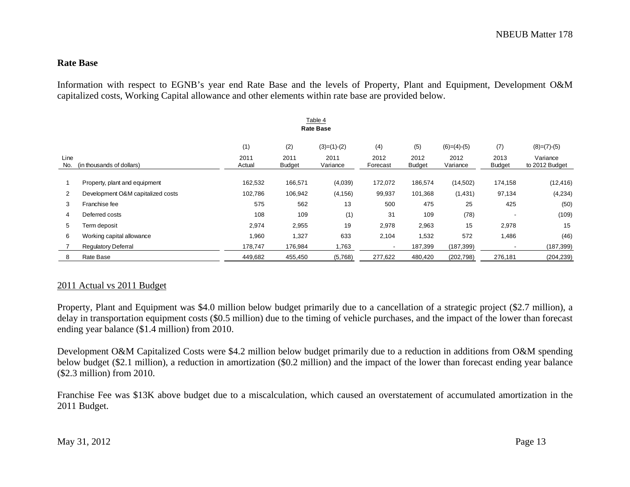#### **Rate Base**

Information with respect to EGNB's year end Rate Base and the levels of Property, Plant and Equipment, Development O&M capitalized costs, Working Capital allowance and other elements within rate base are provided below.

|             |                                   | (1)            | (2)                   | $(3)=(1)-(2)$    | (4)              | (5)                   | $(6)=(4)-(5)$    | (7)                   | $(8)=(7)-(5)$              |
|-------------|-----------------------------------|----------------|-----------------------|------------------|------------------|-----------------------|------------------|-----------------------|----------------------------|
| Line<br>No. | (in thousands of dollars)         | 2011<br>Actual | 2011<br><b>Budget</b> | 2011<br>Variance | 2012<br>Forecast | 2012<br><b>Budget</b> | 2012<br>Variance | 2013<br><b>Budget</b> | Variance<br>to 2012 Budget |
|             | Property, plant and equipment     | 162,532        | 166,571               | (4,039)          | 172,072          | 186,574               | (14,502)         | 174,158               | (12, 416)                  |
| 2           | Development O&M capitalized costs | 102,786        | 106,942               | (4, 156)         | 99,937           | 101,368               | (1,431)          | 97,134                | (4,234)                    |
| 3           | Franchise fee                     | 575            | 562                   | 13               | 500              | 475                   | 25               | 425                   | (50)                       |
| 4           | Deferred costs                    | 108            | 109                   | (1)              | 31               | 109                   | (78)             |                       | (109)                      |
| 5           | Term deposit                      | 2,974          | 2,955                 | 19               | 2,978            | 2,963                 | 15               | 2,978                 | 15                         |
| 6           | Working capital allowance         | 1,960          | 1,327                 | 633              | 2,104            | 1,532                 | 572              | 1,486                 | (46)                       |
|             | <b>Regulatory Deferral</b>        | 178,747        | 176,984               | 1,763            |                  | 187,399               | (187, 399)       |                       | (187, 399)                 |
| 8           | Rate Base                         | 449,682        | 455,450               | (5,768)          | 277,622          | 480,420               | (202, 798)       | 276,181               | (204, 239)                 |

# 2011 Actual vs 2011 Budget

Property, Plant and Equipment was \$4.0 million below budget primarily due to a cancellation of a strategic project (\$2.7 million), a delay in transportation equipment costs (\$0.5 million) due to the timing of vehicle purchases, and the impact of the lower than forecast ending year balance (\$1.4 million) from 2010.

Development O&M Capitalized Costs were \$4.2 million below budget primarily due to a reduction in additions from O&M spending below budget (\$2.1 million), a reduction in amortization (\$0.2 million) and the impact of the lower than forecast ending year balance (\$2.3 million) from 2010.

Franchise Fee was \$13K above budget due to a miscalculation, which caused an overstatement of accumulated amortization in the 2011 Budget.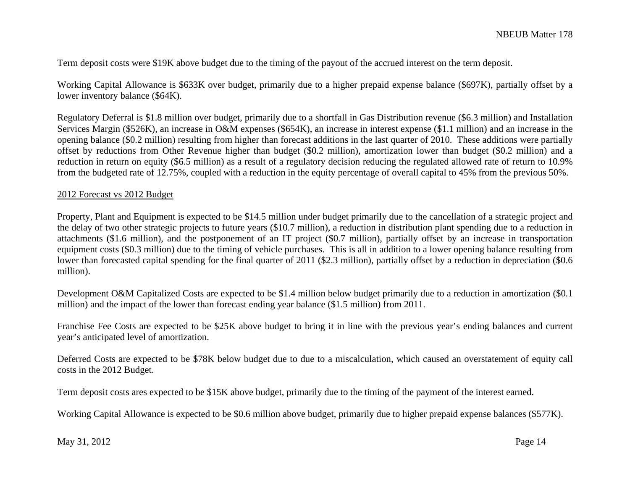Term deposit costs were \$19K above budget due to the timing of the payout of the accrued interest on the term deposit.

Working Capital Allowance is \$633K over budget, primarily due to a higher prepaid expense balance (\$697K), partially offset by a lower inventory balance (\$64K).

Regulatory Deferral is \$1.8 million over budget, primarily due to a shortfall in Gas Distribution revenue (\$6.3 million) and Installation Services Margin (\$526K), an increase in O&M expenses (\$654K), an increase in interest expense (\$1.1 million) and an increase in the opening balance (\$0.2 million) resulting from higher than forecast additions in the last quarter of 2010. These additions were partially offset by reductions from Other Revenue higher than budget (\$0.2 million), amortization lower than budget (\$0.2 million) and a reduction in return on equity (\$6.5 million) as a result of a regulatory decision reducing the regulated allowed rate of return to 10.9% from the budgeted rate of 12.75%, coupled with a reduction in the equity percentage of overall capital to 45% from the previous 50%.

#### 2012 Forecast vs 2012 Budget

Property, Plant and Equipment is expected to be \$14.5 million under budget primarily due to the cancellation of a strategic project and the delay of two other strategic projects to future years (\$10.7 million), a reduction in distribution plant spending due to a reduction in attachments (\$1.6 million), and the postponement of an IT project (\$0.7 million), partially offset by an increase in transportation equipment costs (\$0.3 million) due to the timing of vehicle purchases. This is all in addition to a lower opening balance resulting from lower than forecasted capital spending for the final quarter of 2011 (\$2.3 million), partially offset by a reduction in depreciation (\$0.6 million).

Development O&M Capitalized Costs are expected to be \$1.4 million below budget primarily due to a reduction in amortization (\$0.1 million) and the impact of the lower than forecast ending year balance (\$1.5 million) from 2011.

Franchise Fee Costs are expected to be \$25K above budget to bring it in line with the previous year's ending balances and current year's anticipated level of amortization.

Deferred Costs are expected to be \$78K below budget due to due to a miscalculation, which caused an overstatement of equity call costs in the 2012 Budget.

Term deposit costs ares expected to be \$15K above budget, primarily due to the timing of the payment of the interest earned.

Working Capital Allowance is expected to be \$0.6 million above budget, primarily due to higher prepaid expense balances (\$577K).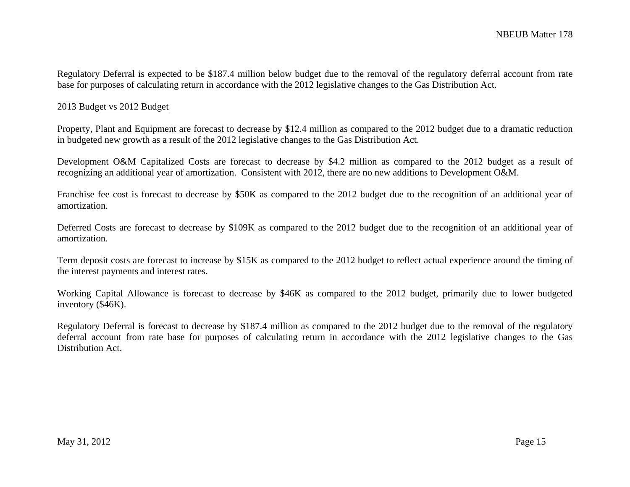Regulatory Deferral is expected to be \$187.4 million below budget due to the removal of the regulatory deferral account from rate base for purposes of calculating return in accordance with the 2012 legislative changes to the Gas Distribution Act.

#### 2013 Budget vs 2012 Budget

Property, Plant and Equipment are forecast to decrease by \$12.4 million as compared to the 2012 budget due to a dramatic reduction in budgeted new growth as a result of the 2012 legislative changes to the Gas Distribution Act.

Development O&M Capitalized Costs are forecast to decrease by \$4.2 million as compared to the 2012 budget as a result of recognizing an additional year of amortization. Consistent with 2012, there are no new additions to Development O&M.

Franchise fee cost is forecast to decrease by \$50K as compared to the 2012 budget due to the recognition of an additional year of amortization.

Deferred Costs are forecast to decrease by \$109K as compared to the 2012 budget due to the recognition of an additional year of amortization.

Term deposit costs are forecast to increase by \$15K as compared to the 2012 budget to reflect actual experience around the timing of the interest payments and interest rates.

Working Capital Allowance is forecast to decrease by \$46K as compared to the 2012 budget, primarily due to lower budgeted inventory (\$46K).

Regulatory Deferral is forecast to decrease by \$187.4 million as compared to the 2012 budget due to the removal of the regulatory deferral account from rate base for purposes of calculating return in accordance with the 2012 legislative changes to the Gas Distribution Act.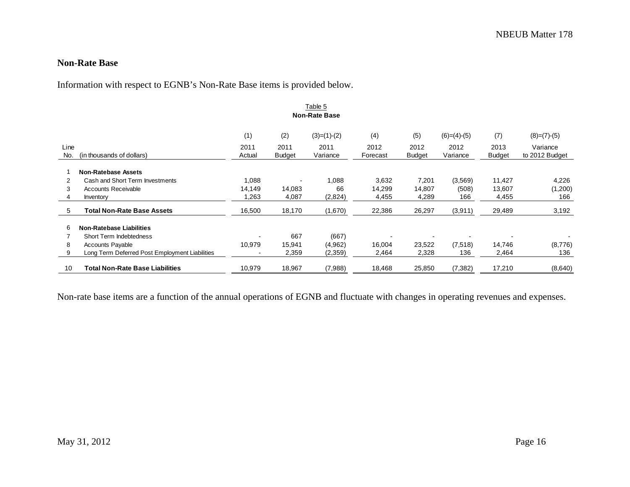#### **Non-Rate Base**

Information with respect to EGNB's Non-Rate Base items is provided below.

|             | Table 5<br><b>Non-Rate Base</b>                |                |                       |                  |                  |                       |                  |                       |                            |  |  |  |
|-------------|------------------------------------------------|----------------|-----------------------|------------------|------------------|-----------------------|------------------|-----------------------|----------------------------|--|--|--|
|             |                                                | (1)            | (2)                   | $(3)=(1)-(2)$    | (4)              | (5)                   | $(6)=(4)-(5)$    | (7)                   | $(8)=(7)-(5)$              |  |  |  |
| Line<br>No. | (in thousands of dollars)                      | 2011<br>Actual | 2011<br><b>Budget</b> | 2011<br>Variance | 2012<br>Forecast | 2012<br><b>Budget</b> | 2012<br>Variance | 2013<br><b>Budget</b> | Variance<br>to 2012 Budget |  |  |  |
|             | <b>Non-Ratebase Assets</b>                     |                |                       |                  |                  |                       |                  |                       |                            |  |  |  |
| 2           | Cash and Short Term Investments                | 1,088          |                       | 1,088            | 3,632            | 7,201                 | (3,569)          | 11,427                | 4,226                      |  |  |  |
| 3           | Accounts Receivable                            | 14,149         | 14,083                | 66               | 14,299           | 14,807                | (508)            | 13,607                | (1,200)                    |  |  |  |
|             | Inventory                                      | 1,263          | 4,087                 | (2,824)          | 4,455            | 4,289                 | 166              | 4,455                 | 166                        |  |  |  |
| 5           | <b>Total Non-Rate Base Assets</b>              | 16,500         | 18,170                | (1,670)          | 22,386           | 26,297                | (3,911)          | 29,489                | 3,192                      |  |  |  |
| 6           | <b>Non-Ratebase Liabilities</b>                |                |                       |                  |                  |                       |                  |                       |                            |  |  |  |
|             | Short Term Indebtedness                        |                | 667                   | (667)            |                  |                       |                  |                       |                            |  |  |  |
| 8           | <b>Accounts Payable</b>                        | 10,979         | 15,941                | (4,962)          | 16,004           | 23,522                | (7,518)          | 14,746                | (8,776)                    |  |  |  |
| 9           | Long Term Deferred Post Employment Liabilities |                | 2,359                 | (2,359)          | 2,464            | 2,328                 | 136              | 2,464                 | 136                        |  |  |  |
| 10          | <b>Total Non-Rate Base Liabilities</b>         | 10,979         | 18,967                | (7,988)          | 18,468           | 25,850                | (7, 382)         | 17,210                | (8,640)                    |  |  |  |

Non-rate base items are a function of the annual operations of EGNB and fluctuate with changes in operating revenues and expenses.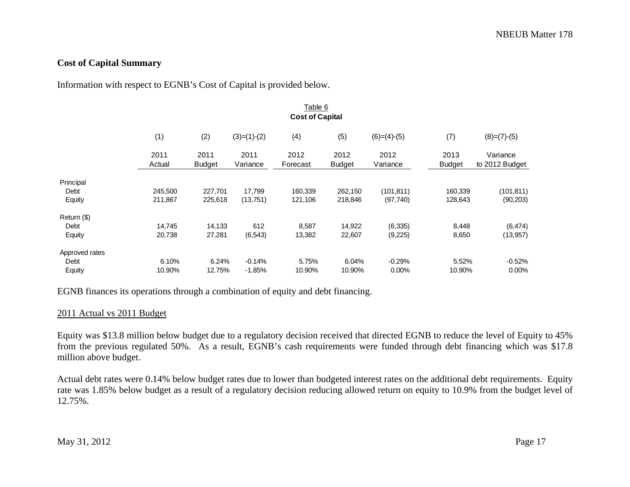# **Cost of Capital Summary**

Information with respect to EGNB's Cost of Capital is provided below.

|                | Table 6                |                       |                  |                  |                       |                  |                       |                            |  |  |  |  |
|----------------|------------------------|-----------------------|------------------|------------------|-----------------------|------------------|-----------------------|----------------------------|--|--|--|--|
|                | <b>Cost of Capital</b> |                       |                  |                  |                       |                  |                       |                            |  |  |  |  |
|                | (1)                    | (2)                   | $(3)=(1)-(2)$    | (4)              | (5)                   | $(6)=(4)-(5)$    | (7)                   | $(8)=(7)-(5)$              |  |  |  |  |
|                | 2011<br>Actual         | 2011<br><b>Budget</b> | 2011<br>Variance | 2012<br>Forecast | 2012<br><b>Budget</b> | 2012<br>Variance | 2013<br><b>Budget</b> | Variance<br>to 2012 Budget |  |  |  |  |
| Principal      |                        |                       |                  |                  |                       |                  |                       |                            |  |  |  |  |
| Debt           | 245,500                | 227,701               | 17,799           | 160,339          | 262,150               | (101, 811)       | 160,339               | (101, 811)                 |  |  |  |  |
| Equity         | 211,867                | 225,618               | (13,751)         | 121,106          | 218,846               | (97, 740)        | 128,643               | (90, 203)                  |  |  |  |  |
| Return (\$)    |                        |                       |                  |                  |                       |                  |                       |                            |  |  |  |  |
| Debt           | 14,745                 | 14,133                | 612              | 8,587            | 14,922                | (6, 335)         | 8,448                 | (6, 474)                   |  |  |  |  |
| Equity         | 20,738                 | 27,281                | (6, 543)         | 13,382           | 22,607                | (9,225)          | 8,650                 | (13, 957)                  |  |  |  |  |
| Approved rates |                        |                       |                  |                  |                       |                  |                       |                            |  |  |  |  |
| Debt           | 6.10%                  | 6.24%                 | $-0.14%$         | 5.75%            | 6.04%                 | $-0.29%$         | 5.52%                 | $-0.52%$                   |  |  |  |  |
| Equity         | 10.90%                 | 12.75%                | $-1.85%$         | 10.90%           | 10.90%                | 0.00%            | 10.90%                | $0.00\%$                   |  |  |  |  |

EGNB finances its operations through a combination of equity and debt financing.

#### 2011 Actual vs 2011 Budget

Equity was \$13.8 million below budget due to a regulatory decision received that directed EGNB to reduce the level of Equity to 45% from the previous regulated 50%. As a result, EGNB's cash requirements were funded through debt financing which was \$17.8 million above budget.

Actual debt rates were 0.14% below budget rates due to lower than budgeted interest rates on the additional debt requirements. Equity rate was 1.85% below budget as a result of a regulatory decision reducing allowed return on equity to 10.9% from the budget level of 12.75%.